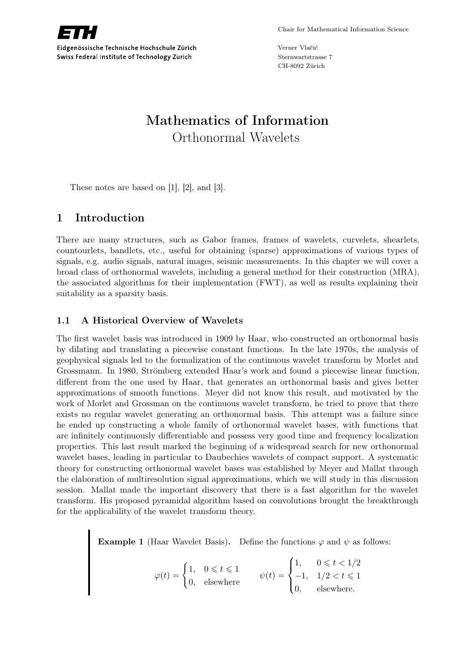

Eidgenössische Technische Hochschule Zürich Swiss Federal Institute of Technology Zurich

Verner Vlačić Sternwartstrasse 7 CH-8092 Zürich

# Mathematics of Information Orthonormal Wavelets

These notes are based on [1], [2], and [3].

# 1 Introduction

There are many structures, such as Gabor frames, frames of wavelets, curvelets, shearlets, countourlets, bandlets, etc., useful for obtaining (sparse) approximations of various types of signals, e.g. audio signals, natural images, seismic measurements. In this chapter we will cover a broad class of orthonormal wavelets, including a general method for their construction (MRA), the associated algorithms for their implementation (FWT), as well as results explaining their suitability as a sparsity basis.

#### 1.1 A Historical Overview of Wavelets

The first wavelet basis was introduced in 1909 by Haar, who constructed an orthonormal basis by dilating and translating a piecewise constant functions. In the late 1970s, the analysis of geophysical signals led to the formalization of the continuous wavelet transform by Morlet and Grossmann. In 1980, Strömberg extended Haar's work and found a piecewise linear function, different from the one used by Haar, that generates an orthonormal basis and gives better approximations of smooth functions. Meyer did not know this result, and motivated by the work of Morlet and Grossman on the continuous wavelet transform, he tried to prove that there exists no regular wavelet generating an orthonormal basis. This attempt was a failure since he ended up constructing a whole family of orthonormal wavelet bases, with functions that are infinitely continuously differentiable and possess very good time and frequency localization properties. This last result marked the beginning of a widespread search for new orthonormal wavelet bases, leading in particular to Daubechies wavelets of compact support. A systematic theory for constructing orthonormal wavelet bases was established by Meyer and Mallat through the elaboration of multiresolution signal approximations, which we will study in this discussion session. Mallat made the important discovery that there is a fast algorithm for the wavelet transform. His proposed pyramidal algorithm based on convolutions brought the breakthrough for the applicability of the wavelet transform theory.

**Example 1** (Haar Wavelet Basis). Define the functions  $\varphi$  and  $\psi$  as follows:

$$
\varphi(t) = \begin{cases} 1, & 0 \leq t \leq 1 \\ 0, & \text{elsewhere} \end{cases} \qquad \psi(t) = \begin{cases} 1, & 0 \leq t < 1/2 \\ -1, & 1/2 < t \leq 1 \\ 0, & \text{elsewhere.} \end{cases}
$$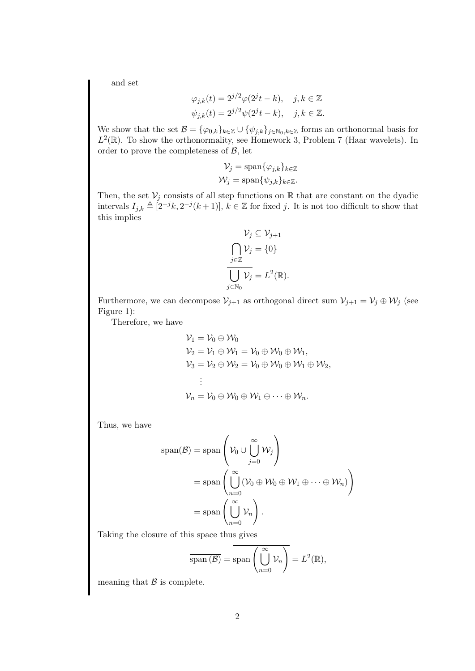and set

$$
\varphi_{j,k}(t) = 2^{j/2}\varphi(2^{j}t - k), \quad j, k \in \mathbb{Z}
$$
  

$$
\psi_{j,k}(t) = 2^{j/2}\psi(2^{j}t - k), \quad j, k \in \mathbb{Z}.
$$

We show that the set  $\mathcal{B} = {\varphi_{0,k}}_{k \in \mathbb{Z}} \cup {\psi_{j,k}}_{j \in \mathbb{N}_0, k \in \mathbb{Z}}$  forms an orthonormal basis for  $L^2(\mathbb{R})$ . To show the orthonormality, see Homework 3, Problem 7 (Haar wavelets). In order to prove the completeness of  $\beta$ , let

$$
\mathcal{V}_j = \text{span}\{\varphi_{j,k}\}_{k \in \mathbb{Z}}
$$

$$
\mathcal{W}_j = \text{span}\{\psi_{j,k}\}_{k \in \mathbb{Z}}.
$$

Then, the set  $V_i$  consists of all step functions on R that are constant on the dyadic intervals  $I_{j,k} \triangleq [2^{-j}k, 2^{-j}(k+1)], k \in \mathbb{Z}$  for fixed j. It is not too difficult to show that this implies

$$
\mathcal{V}_j \subseteq \mathcal{V}_{j+1}
$$

$$
\bigcap_{j \in \mathbb{Z}} \mathcal{V}_j = \{0\}
$$

$$
\overline{\bigcup_{j \in \mathbb{N}_0} \mathcal{V}_j} = L^2(\mathbb{R}).
$$

Furthermore, we can decompose  $\mathcal{V}_{j+1}$  as orthogonal direct sum  $\mathcal{V}_{j+1} = \mathcal{V}_j \oplus \mathcal{W}_j$  (see Figure 1):

Therefore, we have

$$
\mathcal{V}_1 = \mathcal{V}_0 \oplus \mathcal{W}_0
$$
  
\n
$$
\mathcal{V}_2 = \mathcal{V}_1 \oplus \mathcal{W}_1 = \mathcal{V}_0 \oplus \mathcal{W}_0 \oplus \mathcal{W}_1,
$$
  
\n
$$
\mathcal{V}_3 = \mathcal{V}_2 \oplus \mathcal{W}_2 = \mathcal{V}_0 \oplus \mathcal{W}_0 \oplus \mathcal{W}_1 \oplus \mathcal{W}_2,
$$
  
\n
$$
\vdots
$$
  
\n
$$
\mathcal{V}_n = \mathcal{V}_0 \oplus \mathcal{W}_0 \oplus \mathcal{W}_1 \oplus \cdots \oplus \mathcal{W}_n.
$$

Thus, we have

$$
\operatorname{span}(\mathcal{B}) = \operatorname{span}\left(\mathcal{V}_0 \cup \bigcup_{j=0}^{\infty} \mathcal{W}_j\right)
$$
  
= span
$$
\left(\bigcup_{n=0}^{\infty} (\mathcal{V}_0 \oplus \mathcal{W}_0 \oplus \mathcal{W}_1 \oplus \cdots \oplus \mathcal{W}_n)\right)
$$
  
= span
$$
\left(\bigcup_{n=0}^{\infty} \mathcal{V}_n\right).
$$

Taking the closure of this space thus gives

$$
\overline{\operatorname{span}(\mathcal{B})} = \operatorname{span}\left(\bigcup_{n=0}^{\infty} \mathcal{V}_n\right) = L^2(\mathbb{R}),
$$

meaning that  $\beta$  is complete.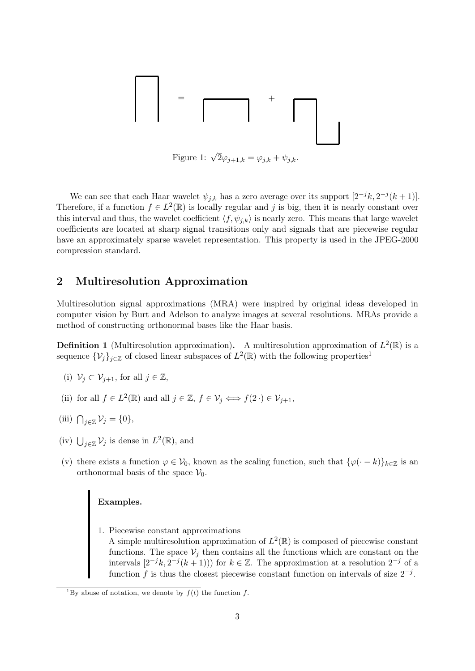= +

Figure 1:  $\sqrt{2}\varphi_{j+1,k} = \varphi_{j,k} + \psi_{j,k}$ .

We can see that each Haar wavelet  $\psi_{j,k}$  has a zero average over its support  $[2^{-j}k, 2^{-j}(k+1)]$ . Therefore, if a function  $f \in L^2(\mathbb{R})$  is locally regular and j is big, then it is nearly constant over this interval and thus, the wavelet coefficient  $\langle f, \psi_{i,k} \rangle$  is nearly zero. This means that large wavelet coefficients are located at sharp signal transitions only and signals that are piecewise regular have an approximately sparse wavelet representation. This property is used in the JPEG-2000 compression standard.

#### 2 Multiresolution Approximation

Multiresolution signal approximations (MRA) were inspired by original ideas developed in computer vision by Burt and Adelson to analyze images at several resolutions. MRAs provide a method of constructing orthonormal bases like the Haar basis.

**Definition 1** (Multiresolution approximation). A multiresolution approximation of  $L^2(\mathbb{R})$  is a sequence  $\{\mathcal{V}_j\}_{j\in\mathbb{Z}}$  of closed linear subspaces of  $L^2(\mathbb{R})$  with the following properties<sup>1</sup>

- (i)  $\mathcal{V}_i \subset \mathcal{V}_{i+1}$ , for all  $j \in \mathbb{Z}$ ,
- (ii) for all  $f \in L^2(\mathbb{R})$  and all  $j \in \mathbb{Z}$ ,  $f \in \mathcal{V}_j \iff f(2 \cdot) \in \mathcal{V}_{j+1}$ ,
- (iii)  $\bigcap_{j\in\mathbb{Z}}\mathcal{V}_j=\{0\},\$
- (iv)  $\bigcup_{j\in\mathbb{Z}}\mathcal{V}_j$  is dense in  $L^2(\mathbb{R})$ , and
- (v) there exists a function  $\varphi \in V_0$ , known as the scaling function, such that  $\{\varphi(\cdot k)\}_{k \in \mathbb{Z}}$  is an orthonormal basis of the space  $V_0$ .

# Examples.

1. Piecewise constant approximations A simple multiresolution approximation of  $L^2(\mathbb{R})$  is composed of piecewise constant functions. The space  $\mathcal{V}_j$  then contains all the functions which are constant on the intervals  $[2^{-j}k, 2^{-j}(k+1))]$  for  $k \in \mathbb{Z}$ . The approximation at a resolution  $2^{-j}$  of a function f is thus the closest piecewise constant function on intervals of size  $2^{-j}$ .

<sup>&</sup>lt;sup>1</sup>By abuse of notation, we denote by  $f(t)$  the function f.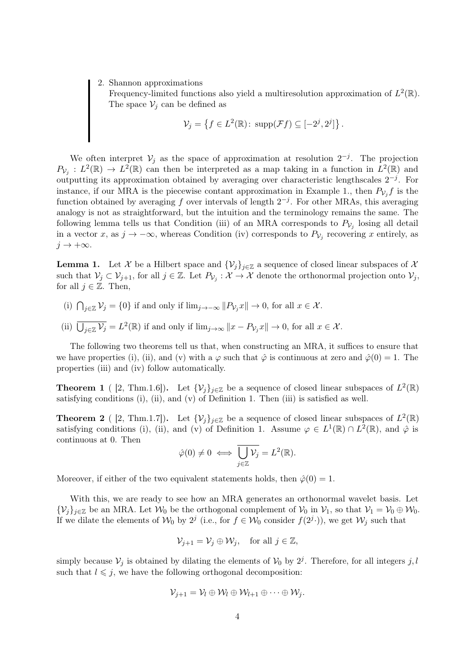2. Shannon approximations

Frequency-limited functions also yield a multiresolution approximation of  $L^2(\mathbb{R})$ . The space  $\mathcal{V}_j$  can be defined as

$$
\mathcal{V}_j = \left\{ f \in L^2(\mathbb{R}) : \operatorname{supp}(\mathcal{F}f) \subseteq [-2^j, 2^j] \right\}.
$$

We often interpret  $\mathcal{V}_j$  as the space of approximation at resolution  $2^{-j}$ . The projection  $P_{\mathcal{V}_j}: L^2(\mathbb{R}) \to L^2(\mathbb{R})$  can then be interpreted as a map taking in a function in  $L^2(\mathbb{R})$  and outputting its approximation obtained by averaging over characteristic lengthscales  $2^{-j}$ . For instance, if our MRA is the piecewise contant approximation in Example 1., then  $P_{V_j}f$  is the function obtained by averaging f over intervals of length  $2^{-j}$ . For other MRAs, this averaging analogy is not as straightforward, but the intuition and the terminology remains the same. The following lemma tells us that Condition (iii) of an MRA corresponds to  $P_{V_j}$  losing all detail in a vector x, as  $j \to -\infty$ , whereas Condition (iv) corresponds to  $P_{\mathcal{V}_j}$  recovering x entirely, as  $j \to +\infty$ .

**Lemma 1.** Let X be a Hilbert space and  $\{V_i\}_{i\in\mathbb{Z}}$  a sequence of closed linear subspaces of X such that  $\mathcal{V}_j \subset \mathcal{V}_{j+1}$ , for all  $j \in \mathbb{Z}$ . Let  $P_{\mathcal{V}_j} : \mathcal{X} \to \mathcal{X}$  denote the orthonormal projection onto  $\mathcal{V}_j$ , for all  $j \in \mathbb{Z}$ . Then,

- (i)  $\bigcap_{j\in\mathbb{Z}}\mathcal{V}_j = \{0\}$  if and only if  $\lim_{j\to\infty}||P_{\mathcal{V}_j}x|| \to 0$ , for all  $x \in \mathcal{X}$ .
- (ii)  $\overline{\bigcup_{j\in\mathbb{Z}}\mathcal{V}_j} = L^2(\mathbb{R})$  if and only if  $\lim_{j\to\infty} ||x P_{\mathcal{V}_j}x|| \to 0$ , for all  $x \in \mathcal{X}$ .

The following two theorems tell us that, when constructing an MRA, it suffices to ensure that we have properties (i), (ii), and (v) with a  $\varphi$  such that  $\hat{\varphi}$  is continuous at zero and  $\hat{\varphi}(0) = 1$ . The properties (iii) and (iv) follow automatically.

**Theorem 1** ([2, Thm.1.6]). Let  $\{\mathcal{V}_j\}_{j\in\mathbb{Z}}$  be a sequence of closed linear subspaces of  $L^2(\mathbb{R})$ satisfying conditions (i), (ii), and (v) of Definition 1. Then (iii) is satisfied as well.

**Theorem 2** ([2, Thm.1.7]). Let  $\{\mathcal{V}_j\}_{j\in\mathbb{Z}}$  be a sequence of closed linear subspaces of  $L^2(\mathbb{R})$ satisfying conditions (i), (ii), and (v) of Definition 1. Assume  $\varphi \in L^1(\mathbb{R}) \cap L^2(\mathbb{R})$ , and  $\hat{\varphi}$  is continuous at 0. Then

$$
\hat{\varphi}(0) \neq 0 \iff \overline{\bigcup_{j \in \mathbb{Z}} \mathcal{V}_j} = L^2(\mathbb{R}).
$$

Moreover, if either of the two equivalent statements holds, then  $\hat{\varphi}(0) = 1$ .

With this, we are ready to see how an MRA generates an orthonormal wavelet basis. Let  $\{V_i\}_{i\in\mathbb{Z}}$  be an MRA. Let  $\mathcal{W}_0$  be the orthogonal complement of  $\mathcal{V}_0$  in  $\mathcal{V}_1$ , so that  $\mathcal{V}_1 = \mathcal{V}_0 \oplus \mathcal{W}_0$ . If we dilate the elements of  $W_0$  by  $2^j$  (i.e., for  $f \in W_0$  consider  $f(2^j \cdot)$ ), we get  $W_j$  such that

$$
\mathcal{V}_{j+1} = \mathcal{V}_j \oplus \mathcal{W}_j, \quad \text{for all } j \in \mathbb{Z},
$$

simply because  $\mathcal{V}_j$  is obtained by dilating the elements of  $\mathcal{V}_0$  by  $2^j$ . Therefore, for all integers j, l such that  $l \leq j$ , we have the following orthogonal decomposition:

$$
\mathcal{V}_{j+1} = \mathcal{V}_l \oplus \mathcal{W}_l \oplus \mathcal{W}_{l+1} \oplus \cdots \oplus \mathcal{W}_j.
$$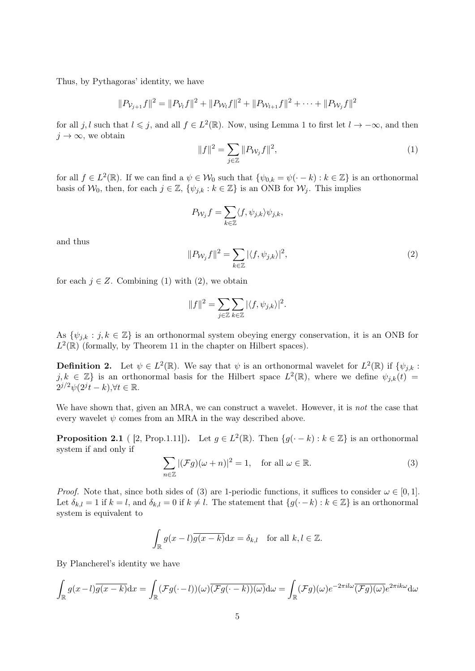Thus, by Pythagoras' identity, we have

$$
||P_{\mathcal{V}_{j+1}}f||^2 = ||P_{\mathcal{V}_l}f||^2 + ||P_{\mathcal{W}_l}f||^2 + ||P_{\mathcal{W}_{l+1}}f||^2 + \cdots + ||P_{\mathcal{W}_j}f||^2
$$

for all j, l such that  $l \leq j$ , and all  $f \in L^2(\mathbb{R})$ . Now, using Lemma 1 to first let  $l \to -\infty$ , and then  $j \to \infty$ , we obtain

$$
||f||^2 = \sum_{j \in \mathbb{Z}} ||P_{\mathcal{W}_j} f||^2,
$$
\n(1)

for all  $f \in L^2(\mathbb{R})$ . If we can find a  $\psi \in \mathcal{W}_0$  such that  $\{\psi_{0,k} = \psi(\cdot - k) : k \in \mathbb{Z}\}\)$  is an orthonormal basis of  $W_0$ , then, for each  $j \in \mathbb{Z}$ ,  $\{\psi_{i,k} : k \in \mathbb{Z}\}\$ is an ONB for  $W_i$ . This implies

$$
P_{\mathcal{W}_j}f = \sum_{k \in \mathbb{Z}} \langle f, \psi_{j,k} \rangle \psi_{j,k},
$$

and thus

$$
||P_{\mathcal{W}_j} f||^2 = \sum_{k \in \mathbb{Z}} |\langle f, \psi_{j,k} \rangle|^2,
$$
\n(2)

for each  $j \in Z$ . Combining (1) with (2), we obtain

$$
||f||^2 = \sum_{j \in \mathbb{Z}} \sum_{k \in \mathbb{Z}} |\langle f, \psi_{j,k} \rangle|^2.
$$

As  $\{\psi_{j,k} : j,k \in \mathbb{Z}\}\$  is an orthonormal system obeying energy conservation, it is an ONB for  $L^2(\mathbb{R})$  (formally, by Theorem 11 in the chapter on Hilbert spaces).

**Definition 2.** Let  $\psi \in L^2(\mathbb{R})$ . We say that  $\psi$  is an orthonormal wavelet for  $L^2(\mathbb{R})$  if  $\{\psi_{j,k} :$  $j, k \in \mathbb{Z}$  is an orthonormal basis for the Hilbert space  $L^2(\mathbb{R})$ , where we define  $\psi_{j,k}(t)$  $2^{j/2}\psi(2^{j}t-k), \forall t \in \mathbb{R}.$ 

We have shown that, given an MRA, we can construct a wavelet. However, it is not the case that every wavelet  $\psi$  comes from an MRA in the way described above.

**Proposition 2.1** ( [2, Prop.1.11]). Let  $g \in L^2(\mathbb{R})$ . Then  $\{g(\cdot - k) : k \in \mathbb{Z}\}\)$  is an orthonormal system if and only if

$$
\sum_{n\in\mathbb{Z}} |(\mathcal{F}g)(\omega+n)|^2 = 1, \quad \text{for all } \omega \in \mathbb{R}.
$$
 (3)

*Proof.* Note that, since both sides of (3) are 1-periodic functions, it suffices to consider  $\omega \in [0,1]$ . Let  $\delta_{k,l} = 1$  if  $k = l$ , and  $\delta_{k,l} = 0$  if  $k \neq l$ . The statement that  $\{g(\cdot - k) : k \in \mathbb{Z}\}\)$  is an orthonormal system is equivalent to

$$
\int_{\mathbb{R}} g(x-l)\overline{g(x-k)}dx = \delta_{k,l} \text{ for all } k,l \in \mathbb{Z}.
$$

By Plancherel's identity we have

$$
\int_{\mathbb{R}} g(x-l)\overline{g(x-k)}dx = \int_{\mathbb{R}} (\mathcal{F}g(-l))(\omega)\overline{(\mathcal{F}g(-k))(\omega)}d\omega = \int_{\mathbb{R}} (\mathcal{F}g)(\omega)e^{-2\pi il\omega}\overline{(\mathcal{F}g)(\omega)}e^{2\pi ik\omega}d\omega
$$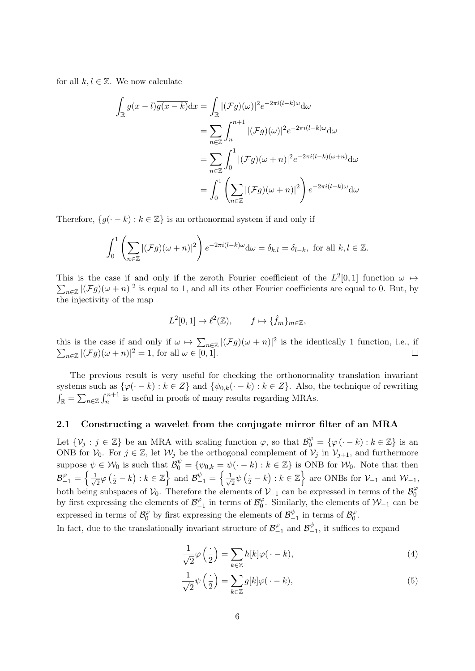for all  $k, l \in \mathbb{Z}$ . We now calculate

$$
\int_{\mathbb{R}} g(x-l)\overline{g(x-k)}dx = \int_{\mathbb{R}} |(\mathcal{F}g)(\omega)|^2 e^{-2\pi i(l-k)\omega} d\omega
$$

$$
= \sum_{n\in\mathbb{Z}} \int_{n}^{n+1} |(\mathcal{F}g)(\omega)|^2 e^{-2\pi i(l-k)\omega} d\omega
$$

$$
= \sum_{n\in\mathbb{Z}} \int_{0}^{1} |(\mathcal{F}g)(\omega+n)|^2 e^{-2\pi i(l-k)(\omega+n)} d\omega
$$

$$
= \int_{0}^{1} \left(\sum_{n\in\mathbb{Z}} |(\mathcal{F}g)(\omega+n)|^2\right) e^{-2\pi i(l-k)\omega} d\omega
$$

Therefore,  $\{g(\cdot - k) : k \in \mathbb{Z}\}\$ is an orthonormal system if and only if

$$
\int_0^1 \left(\sum_{n\in\mathbb{Z}} |(\mathcal{F}g)(\omega+n)|^2\right) e^{-2\pi i(l-k)\omega} d\omega = \delta_{k,l} = \delta_{l-k}, \text{ for all } k,l \in \mathbb{Z}.
$$

This is the case if and only if the zeroth Fourier coefficient of the  $L^2[0,1]$  function  $\omega \mapsto$  $\sum_{n\in\mathbb{Z}}|\left(\mathcal{F}g\right)(\omega+n)|^2$  is equal to 1, and all its other Fourier coefficients are equal to 0. But, by the injectivity of the map

$$
L^2[0,1] \to \ell^2(\mathbb{Z}), \qquad f \mapsto \{\hat{f}_m\}_{m \in \mathbb{Z}},
$$

this is the case if and only if  $\omega \mapsto \sum_{n\in\mathbb{Z}} |(\mathcal{F}g)(\omega+n)|^2$  $\sum$ is the identically 1 function, i.e., if  $_{n\in\mathbb{Z}} |(\mathcal{F}g)(\omega+n)|^2 = 1$ , for all  $\omega \in [0,1]$ .

The previous result is very useful for checking the orthonormality translation invariant systems such as  $\{\varphi(\cdot - k) : k \in \mathbb{Z}\}\$  and  $\{\psi_{0,k}(\cdot - k) : k \in \mathbb{Z}\}\$ . Also, the technique of rewriting  $\int_{\mathbb{R}} = \sum_{n \in \mathbb{Z}} \int_{n}^{n+1}$  is useful in proofs of many results regarding MRAs.

#### 2.1 Constructing a wavelet from the conjugate mirror filter of an MRA

Let  $\{\mathcal{V}_j : j \in \mathbb{Z}\}$  be an MRA with scaling function  $\varphi$ , so that  $\mathcal{B}_0^{\varphi} = {\varphi(-k) : k \in \mathbb{Z}}$  is an ONB for  $V_0$ . For  $j \in \mathbb{Z}$ , let  $W_j$  be the orthogonal complement of  $V_j$  in  $V_{j+1}$ , and furthermore suppose  $\psi \in \mathcal{W}_0$  is such that  $\mathcal{B}_0^{\psi} = \{\psi_{0,k} = \psi(\cdot - k) : k \in \mathbb{Z}\}\$ is ONB for  $\mathcal{W}_0$ . Note that then  $\mathcal{B}^{\varphi}_{-1} = \Big\{ \frac{1}{\sqrt{2}}$  $\frac{1}{2}\varphi\left(\frac{1}{2}-k\right):k\in\mathbb{Z}\right\}$  and  $\mathcal{B}_{-1}^{\psi}=\left\{\frac{1}{\sqrt{2}}\right\}$  $\frac{1}{2}\psi\left(\frac{1}{2} - k\right) : k \in \mathbb{Z} \Big\}$  are ONBs for  $\mathcal{V}_{-1}$  and  $\mathcal{W}_{-1}$ , both being subspaces of  $\mathcal{V}_0$ . Therefore the elements of  $\mathcal{V}_{-1}$  can be expressed in terms of the  $\mathcal{B}_0^{\varphi}$  $\sigma$ by first expressing the elements of  $\mathcal{B}_{-}^{\varphi}$  $\mathcal{B}_{-1}^{\varphi}$  in terms of  $\mathcal{B}_{0}^{\varphi}$  $\sqrt{\frac{1}{0}}$ . Similarly, the elements of  $\mathcal{W}_{-1}$  can be expressed in terms of  $\mathcal{B}_0^{\varphi}$  $\frac{\varphi}{0}$  by first expressing the elements of  $\mathcal{B}_{-}^{\psi}$  $\frac{\psi}{-1}$  in terms of  $\mathcal{B}_{0}^{\varphi}$  $\begin{matrix} \varphi \ 0 \end{matrix}$ .

In fact, due to the translationally invariant structure of  $\mathcal{B}_{-}^{\varphi}$  $\mathcal{B}_{-1}^{\varphi}$  and  $\mathcal{B}_{-}^{\psi}$  $y_{-1}^{\psi}$ , it suffices to expand

$$
\frac{1}{\sqrt{2}}\varphi\left(\frac{\cdot}{2}\right) = \sum_{k\in\mathbb{Z}} h[k]\varphi(\cdot - k),\tag{4}
$$

$$
\frac{1}{\sqrt{2}}\psi\left(\frac{\cdot}{2}\right) = \sum_{k\in\mathbb{Z}} g[k]\varphi(\cdot - k),\tag{5}
$$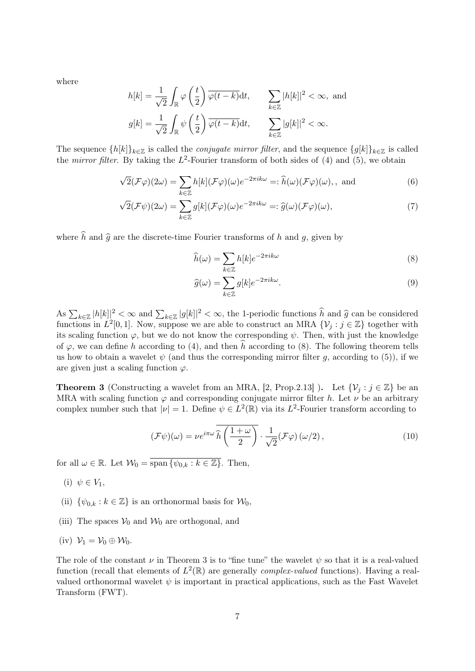where

$$
h[k] = \frac{1}{\sqrt{2}} \int_{\mathbb{R}} \varphi\left(\frac{t}{2}\right) \overline{\varphi(t-k)} dt, \qquad \sum_{k \in \mathbb{Z}} |h[k]|^2 < \infty, \text{ and}
$$

$$
g[k] = \frac{1}{\sqrt{2}} \int_{\mathbb{R}} \psi\left(\frac{t}{2}\right) \overline{\varphi(t-k)} dt, \qquad \sum_{k \in \mathbb{Z}} |g[k]|^2 < \infty.
$$

The sequence  $\{h[k]\}_{k\in\mathbb{Z}}$  is called the *conjugate mirror filter*, and the sequence  $\{g[k]\}_{k\in\mathbb{Z}}$  is called the *mirror filter*. By taking the  $L^2$ -Fourier transform of both sides of (4) and (5), we obtain

$$
\sqrt{2}(\mathcal{F}\varphi)(2\omega) = \sum_{k \in \mathbb{Z}} h[k](\mathcal{F}\varphi)(\omega)e^{-2\pi ik\omega} =: \widehat{h}(\omega)(\mathcal{F}\varphi)(\omega), \text{ and}
$$
(6)

$$
\sqrt{2}(\mathcal{F}\psi)(2\omega) = \sum_{k\in\mathbb{Z}} g[k](\mathcal{F}\varphi)(\omega)e^{-2\pi ik\omega} =: \widehat{g}(\omega)(\mathcal{F}\varphi)(\omega),\tag{7}
$$

where  $\hat{h}$  and  $\hat{g}$  are the discrete-time Fourier transforms of h and g, given by

$$
\widehat{h}(\omega) = \sum_{k \in \mathbb{Z}} h[k] e^{-2\pi i k \omega} \tag{8}
$$

$$
\widehat{g}(\omega) = \sum_{k \in \mathbb{Z}} g[k] e^{-2\pi i k \omega}.
$$
\n(9)

As  $\sum_{k\in\mathbb{Z}} |h[k]|^2 < \infty$  and  $\sum_{k\in\mathbb{Z}} |g[k]|^2 < \infty$ , the 1-periodic functions  $\hat{h}$  and  $\hat{g}$  can be considered<br>functions in  $L^2[0,1]$ . Now suppose we are able to construct an MPA  $\Omega$ , i.e.  $\mathbb{Z}$  together wi functions in  $L^2[0,1]$ . Now, suppose we are able to construct an MRA  $\{\mathcal{V}_j : j \in \mathbb{Z}\}$  together with its scaling function  $\varphi$ , but we do not know the corresponding  $\psi$ . Then, with just the knowledge of  $\varphi$ , we can define h according to (4), and then h according to (8). The following theorem tells us how to obtain a wavelet  $\psi$  (and thus the corresponding mirror filter g, according to (5)), if we are given just a scaling function  $\varphi$ .

**Theorem 3** (Constructing a wavelet from an MRA, [2, Prop.2.13]). Let  $\{\mathcal{V}_j : j \in \mathbb{Z}\}$  be an MRA with scaling function  $\varphi$  and corresponding conjugate mirror filter h. Let  $\nu$  be an arbitrary complex number such that  $|\nu|=1$ . Define  $\psi \in L^2(\mathbb{R})$  via its  $L^2$ -Fourier transform according to

$$
(\mathcal{F}\psi)(\omega) = \nu e^{i\pi\omega} \widehat{h}\left(\frac{1+\omega}{2}\right) \cdot \frac{1}{\sqrt{2}} (\mathcal{F}\varphi)(\omega/2), \qquad (10)
$$

for all  $\omega \in \mathbb{R}$ . Let  $\mathcal{W}_0 = \overline{\text{span}\{\psi_{0,k} : k \in \mathbb{Z}\}}$ . Then,

- (i)  $\psi \in V_1$ ,
- (ii)  $\{\psi_{0,k} : k \in \mathbb{Z}\}\$ is an orthonormal basis for  $\mathcal{W}_0$ ,
- (iii) The spaces  $V_0$  and  $W_0$  are orthogonal, and
- (iv)  $\mathcal{V}_1 = \mathcal{V}_0 \oplus \mathcal{W}_0$ .

The role of the constant  $\nu$  in Theorem 3 is to "fine tune" the wavelet  $\psi$  so that it is a real-valued function (recall that elements of  $L^2(\mathbb{R})$  are generally *complex-valued* functions). Having a realvalued orthonormal wavelet  $\psi$  is important in practical applications, such as the Fast Wavelet Transform (FWT).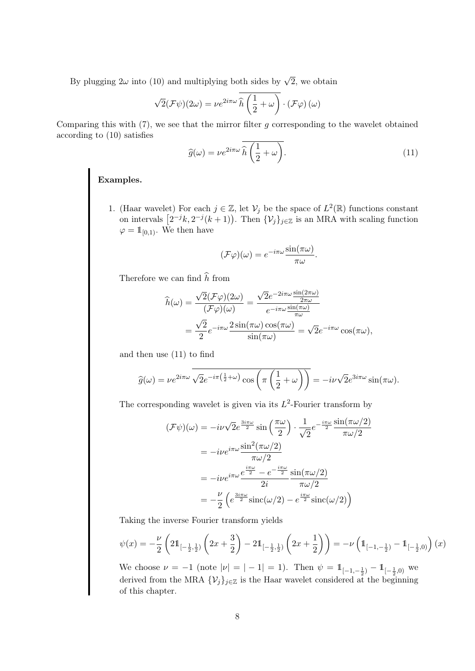By plugging  $2\omega$  into (10) and multiplying both sides by  $\sqrt{2}$ , we obtain

$$
\sqrt{2}(\mathcal{F}\psi)(2\omega) = \nu e^{2i\pi\omega} \overline{\hat{h}\left(\frac{1}{2}+\omega\right)} \cdot (\mathcal{F}\varphi)(\omega)
$$

Comparing this with  $(7)$ , we see that the mirror filter g corresponding to the wavelet obtained according to (10) satisfies

$$
\widehat{g}(\omega) = \nu e^{2i\pi\omega} \overline{\widehat{h}\left(\frac{1}{2} + \omega\right)}.
$$
\n(11)

#### Examples.

1. (Haar wavelet) For each  $j \in \mathbb{Z}$ , let  $\mathcal{V}_j$  be the space of  $L^2(\mathbb{R})$  functions constant on intervals  $[2^{-j}k, 2^{-j}(k+1)]$ . Then  $\{\mathcal{V}_j\}_{j\in\mathbb{Z}}$  is an MRA with scaling function  $\varphi = \mathbb{1}_{[0,1)}$ . We then have

$$
(\mathcal{F}\varphi)(\omega) = e^{-i\pi\omega} \frac{\sin(\pi\omega)}{\pi\omega}.
$$

Therefore we can find  $\widehat{h}$  from

$$
\begin{split} \widehat{h}(\omega) &= \frac{\sqrt{2}(\mathcal{F}\varphi)(2\omega)}{(\mathcal{F}\varphi)(\omega)} = \frac{\sqrt{2}e^{-2i\pi\omega}\frac{\sin(2\pi\omega)}{2\pi\omega}}{e^{-i\pi\omega}\frac{\sin(\pi\omega)}{\pi\omega}} \\ &= \frac{\sqrt{2}}{2}e^{-i\pi\omega}\frac{2\sin(\pi\omega)\cos(\pi\omega)}{\sin(\pi\omega)} = \sqrt{2}e^{-i\pi\omega}\cos(\pi\omega), \end{split}
$$

and then use (11) to find

$$
\widehat{g}(\omega) = \nu e^{2i\pi\omega} \overline{\sqrt{2}e^{-i\pi(\frac{1}{2}+\omega)}\cos\left(\pi\left(\frac{1}{2}+\omega\right)\right)} = -i\nu\sqrt{2}e^{3i\pi\omega}\sin(\pi\omega).
$$

The corresponding wavelet is given via its  $L^2$ -Fourier transform by

$$
\begin{split} (\mathcal{F}\psi)(\omega) &= -i\nu\sqrt{2}e^{\frac{3i\pi\omega}{2}}\sin\left(\frac{\pi\omega}{2}\right)\cdot\frac{1}{\sqrt{2}}e^{-\frac{i\pi\omega}{2}}\frac{\sin(\pi\omega/2)}{\pi\omega/2} \\ &= -i\nu e^{i\pi\omega}\frac{\sin^2(\pi\omega/2)}{\pi\omega/2} \\ &= -i\nu e^{i\pi\omega}\frac{e^{\frac{i\pi\omega}{2}} - e^{-\frac{i\pi\omega}{2}}\sin(\pi\omega/2)}{2i\pi\omega/2} \\ &= -\frac{\nu}{2}\left(e^{\frac{3i\pi\omega}{2}}\text{sinc}(\omega/2) - e^{\frac{i\pi\omega}{2}}\text{sinc}(\omega/2)\right) \end{split}
$$

Taking the inverse Fourier transform yields

$$
\psi(x) = -\frac{\nu}{2} \left( 2\mathbb{1}_{[-\frac{1}{2},\frac{1}{2})} \left( 2x + \frac{3}{2} \right) - 2\mathbb{1}_{[-\frac{1}{2},\frac{1}{2})} \left( 2x + \frac{1}{2} \right) \right) = -\nu \left( \mathbb{1}_{[-1,-\frac{1}{2})} - \mathbb{1}_{[-\frac{1}{2},0)} \right)(x)
$$

We choose  $\nu = -1$  (note  $|\nu| = |-1| = 1$ ). Then  $\psi = 1\!\!1_{[-1, -\frac{1}{2})} - 1\!\!1_{[-\frac{1}{2}, 0)}$  we derived from the MRA  $\{\mathcal{V}_j\}_{j\in\mathbb{Z}}$  is the Haar wavelet considered at the beginning of this chapter.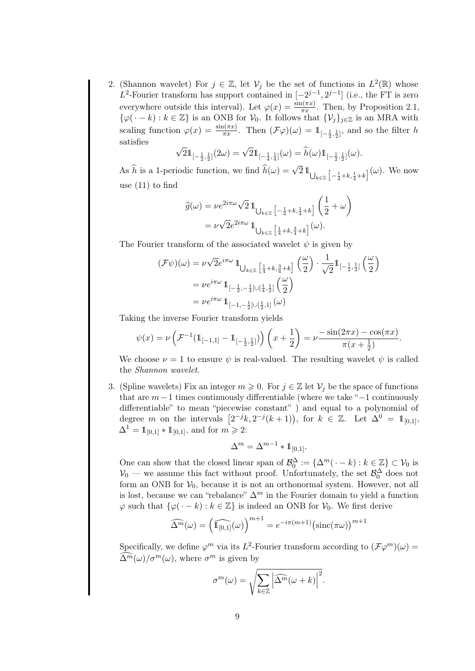2. (Shannon wavelet) For  $j \in \mathbb{Z}$ , let  $\mathcal{V}_j$  be the set of functions in  $L^2(\mathbb{R})$  whose L<sup>2</sup>-Fourier transform has support contained in  $[-2^{j-1}, 2^{j-1}]$  (i.e., the FT is zero everywhere outside this interval). Let  $\varphi(x) = \frac{\sin(\pi x)}{\pi x}$ . Then, by Proposition 2.1,  $\{\varphi(\cdot - k) : k \in \mathbb{Z}\}\$ is an ONB for  $\mathcal{V}_0$ . It follows that  $\{\mathcal{V}_j\}_{j\in\mathbb{Z}}\}$  is an MRA with scaling function  $\varphi(x) = \frac{\sin(\pi x)}{\pi x}$ . Then  $(\mathcal{F}\varphi)(\omega) = 1\!\!1_{[-\frac{1}{2},\frac{1}{2}]}$ , and so the filter h satisfies √

$$
\sqrt{2}1\!\!1_{[-\frac{1}{2},\frac{1}{2}]}(2\omega)=\sqrt{2}1\!\!1_{[-\frac{1}{4},\frac{1}{4}]}(\omega)=\widehat{h}(\omega)1\!\!1_{[-\frac{1}{2},\frac{1}{2}]}(\omega).
$$

As  $\hat{h}$  is a 1-periodic function, we find  $\hat{h}(\omega) = \sqrt{2} \mathbb{1}_{\bigcup_{k \in \mathbb{Z}} \left[-\frac{1}{4} + k, \frac{1}{4} + k\right]}(\omega)$ . We now use (11) to find

$$
\begin{split} \widehat{g}(\omega) &= \nu e^{2i\pi\omega}\sqrt{2}\,\mathbb{1}_{\bigcup_{k\in\mathbb{Z}}\left[-\frac{1}{4}+k,\frac{1}{4}+k\right]}\left(\frac{1}{2}+\omega\right) \\ &= \nu\sqrt{2}e^{2i\pi\omega}\,\mathbb{1}_{\bigcup_{k\in\mathbb{Z}}\left[\frac{1}{4}+k,\frac{3}{4}+k\right]}(\omega). \end{split}
$$

The Fourier transform of the associated wavelet  $\psi$  is given by

$$
\begin{split} (\mathcal{F}\psi)(\omega) &= \nu \sqrt{2} e^{i\pi\omega} \, 1\!\!\mathbb{1}_{\bigcup_{k \in \mathbb{Z}} \left[\frac{1}{4} + k, \frac{3}{4} + k\right]} \left(\frac{\omega}{2}\right) \cdot \frac{1}{\sqrt{2}} 1\!\!\mathbb{1}_{\left[-\frac{1}{2}, \frac{1}{2}\right]} \left(\frac{\omega}{2}\right) \\ &= \nu e^{i\pi\omega} \, 1\!\!\mathbb{1}_{\left[-\frac{1}{2}, -\frac{1}{4}\right] \cup \left[\frac{1}{4}, \frac{1}{2}\right]} \left(\frac{\omega}{2}\right) \\ &= \nu e^{i\pi\omega} \, 1\!\!\mathbb{1}_{\left[-1, -\frac{1}{2}\right] \cup \left[\frac{1}{2}, 1\right]} \left(\omega\right) \end{split}
$$

Taking the inverse Fourier transform yields

$$
\psi(x) = \nu \left( \mathcal{F}^{-1}(\mathbb{1}_{[-1,1]} - \mathbb{1}_{[-\frac{1}{2},\frac{1}{2}]}) \right) \left( x + \frac{1}{2} \right) = \nu \frac{-\sin(2\pi x) - \cos(\pi x)}{\pi (x + \frac{1}{2})}.
$$

We choose  $\nu = 1$  to ensure  $\psi$  is real-valued. The resulting wavelet  $\psi$  is called the Shannon wavelet.

3. (Spline wavelets) Fix an integer  $m \geq 0$ . For  $j \in \mathbb{Z}$  let  $\mathcal{V}_j$  be the space of functions that are  $m-1$  times continuously differentiable (where we take " $-1$  continuously differentiable" to mean "piecewise constant" ) and equal to a polynomial of degree m on the intervals  $\left[2^{-j}k, 2^{-j}(k+1)\right)$ , for  $k \in \mathbb{Z}$ . Let  $\Delta^0 = \mathbb{1}_{[0,1]},$  $\Delta^1 = \mathbb{1}_{[0,1]} * \mathbb{1}_{[0,1]}$ , and for  $m \geq 2$ :

$$
\Delta^m=\Delta^{m-1}\ast 1\hspace{-4.5pt}1_{[0,1]}.
$$

One can show that the closed linear span of  $\mathcal{B}_0^{\Delta} := \{ \Delta^m(\cdot - k) : k \in \mathbb{Z} \} \subset \mathcal{V}_0$  is  $\mathcal{V}_0$  — we assume this fact without proof. Unfortunately, the set  $\mathcal{B}_0^{\Delta}$  does not form an ONB for  $V_0$ , because it is not an orthonormal system. However, not all is lost, because we can "rebalance"  $\Delta^m$  in the Fourier domain to yield a function  $\varphi$  such that  $\{\varphi(\cdot - k) : k \in \mathbb{Z}\}\$ is indeed an ONB for  $\mathcal{V}_0$ . We first derive

$$
\widehat{\Delta^m}(\omega) = \left(\widehat{\mathbb{1}_{[0,1]}}(\omega)\right)^{m+1} = e^{-i\pi(m+1)} \left(\text{sinc}(\pi\omega)\right)^{m+1}
$$

Specifically, we define  $\varphi^m$  via its  $L^2$ -Fourier transform according to  $(\mathcal{F}\varphi^m)(\omega)$  =  $\widehat{\Delta}^{\widetilde{m}}(\omega)/\sigma^{m}(\omega)$ , where  $\sigma^{m}$  is given by

$$
\sigma^m(\omega) = \sqrt{\sum_{k \in \mathbb{Z}} \left| \widehat{\Delta^m}(\omega + k) \right|^2}.
$$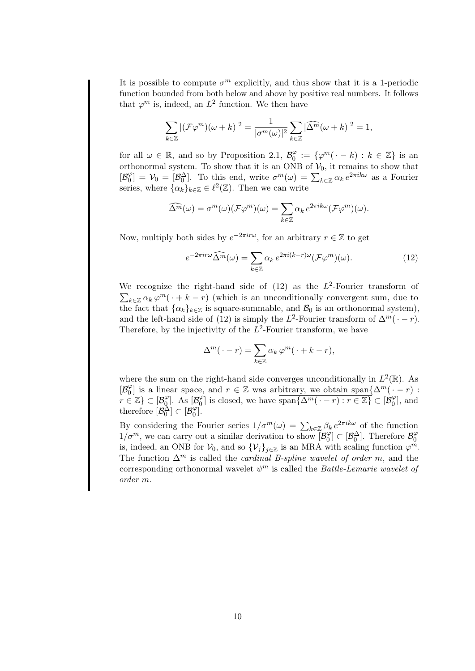It is possible to compute  $\sigma^m$  explicitly, and thus show that it is a 1-periodic function bounded from both below and above by positive real numbers. It follows that  $\varphi^m$  is, indeed, an  $L^2$  function. We then have

$$
\sum_{k\in\mathbb{Z}}|(\mathcal{F}\varphi^m)(\omega+k)|^2=\frac{1}{|\sigma^m(\omega)|^2}\sum_{k\in\mathbb{Z}}|\widehat{\Delta^m}(\omega+k)|^2=1,
$$

for all  $\omega \in \mathbb{R}$ , and so by Proposition 2.1,  $\mathcal{B}_0^{\varphi}$  $\psi_0^{\varphi} := \{ \varphi^m(\cdot - k) : k \in \mathbb{Z} \}$  is an orthonormal system. To show that it is an ONB of  $V_0$ , it remains to show that  $\mathcal{B}_{0}^{\varphi}$  $\mathcal{O}_0^{\varphi}$ ] =  $\mathcal{V}_0 = [\mathcal{B}_0^{\Delta}]$ . To this end, write  $\sigma^m(\omega) = \sum_{k \in \mathbb{Z}} \alpha_k e^{2\pi i k \omega}$  as a Fourier series, where  $\{\alpha_k\}_{k\in\mathbb{Z}} \in \ell^2(\mathbb{Z})$ . Then we can write

$$
\widehat{\Delta^m}(\omega) = \sigma^m(\omega)(\mathcal{F}\varphi^m)(\omega) = \sum_{k \in \mathbb{Z}} \alpha_k e^{2\pi i k \omega} (\mathcal{F}\varphi^m)(\omega).
$$

Now, multiply both sides by  $e^{-2\pi i r\omega}$ , for an arbitrary  $r \in \mathbb{Z}$  to get

$$
e^{-2\pi i r\omega} \widehat{\Delta^m}(\omega) = \sum_{k \in \mathbb{Z}} \alpha_k \, e^{2\pi i (k-r)\omega} (\mathcal{F}\varphi^m)(\omega). \tag{12}
$$

We recognize the right-hand side of  $(12)$  as the  $L^2$ -Fourier transform of  $\sum_{k\in\mathbb{Z}} \alpha_k \varphi^m(\cdot + k - r)$  (which is an unconditionally convergent sum, due to the fact that  $\{\alpha_k\}_{k\in\mathbb{Z}}$  is square-summable, and  $\mathcal{B}_0$  is an orthonormal system), and the left-hand side of (12) is simply the L<sup>2</sup>-Fourier transform of  $\Delta^m(\cdot - r)$ . Therefore, by the injectivity of the  $L^2$ -Fourier transform, we have

$$
\Delta^m(\cdot - r) = \sum_{k \in \mathbb{Z}} \alpha_k \varphi^m(\cdot + k - r),
$$

where the sum on the right-hand side converges unconditionally in  $L^2(\mathbb{R})$ . As  $\mathcal{B}_0^{\varphi}$  $\binom{\varphi}{0}$  is a linear space, and  $r \in \mathbb{Z}$  was arbitrary, we obtain span $\{\Delta^m(\cdot - r)$ :  $r \in \mathbb{Z} \} \subset [\mathcal{B}_0^{\varphi}]$  $\binom{\varphi}{0}$ . As  $\left[\mathcal{B}_0^{\varphi}\right]$  $\mathcal{O}_0^{\varphi}$  is closed, we have  $\overline{\text{span}\{\Delta^m(\cdot - r) : r \in \mathbb{Z}\}} \subset [\mathcal{B}_0^{\varphi}]$  $S_0^{\varphi}$ , and therefore  $[\mathcal{B}_0^{\Delta}] \subset [\mathcal{B}_0^{\varphi}]$  $\begin{bmatrix} \varphi \ 0 \end{bmatrix}$ .

By considering the Fourier series  $1/\sigma^m(\omega) = \sum_{k \in \mathbb{Z}} \beta_k e^{2\pi i k \omega}$  of the function  $1/\sigma^m$ , we can carry out a similar derivation to show  $\beta_0^{\varphi}$  $\mathcal{B}_0^{\varphi}$   $\subset$   $[\mathcal{B}_0^{\Delta}]$ . Therefore  $\mathcal{B}_0^{\varphi}$  $\sigma$ is, indeed, an ONB for  $\mathcal{V}_0$ , and so  $\{\mathcal{V}_j\}_{j\in\mathbb{Z}}$  is an MRA with scaling function  $\varphi^m$ . The function  $\Delta^m$  is called the *cardinal B-spline wavelet of order m*, and the corresponding orthonormal wavelet  $\psi^m$  is called the *Battle-Lemarie wavelet of* order m.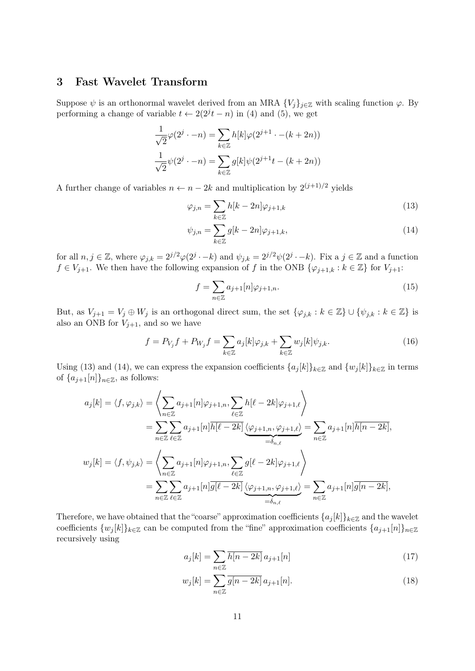### 3 Fast Wavelet Transform

Suppose  $\psi$  is an orthonormal wavelet derived from an MRA  $\{V_i\}_{i\in\mathbb{Z}}$  with scaling function  $\varphi$ . By performing a change of variable  $t \leftarrow 2(2^{j}t - n)$  in (4) and (5), we get

$$
\frac{1}{\sqrt{2}}\varphi(2^j \cdot -n) = \sum_{k \in \mathbb{Z}} h[k]\varphi(2^{j+1} \cdot -(k+2n))
$$

$$
\frac{1}{\sqrt{2}}\psi(2^j \cdot -n) = \sum_{k \in \mathbb{Z}} g[k]\psi(2^{j+1}t - (k+2n))
$$

A further change of variables  $n \leftarrow n - 2k$  and multiplication by  $2^{(j+1)/2}$  yields

$$
\varphi_{j,n} = \sum_{k \in \mathbb{Z}} h[k-2n] \varphi_{j+1,k} \tag{13}
$$

$$
\psi_{j,n} = \sum_{k \in \mathbb{Z}} g[k-2n] \varphi_{j+1,k},\tag{14}
$$

for all  $n, j \in \mathbb{Z}$ , where  $\varphi_{j,k} = 2^{j/2} \varphi(2^{j} \cdot - k)$  and  $\psi_{j,k} = 2^{j/2} \psi(2^{j} \cdot - k)$ . Fix a  $j \in \mathbb{Z}$  and a function  $f \in V_{j+1}$ . We then have the following expansion of f in the ONB  $\{\varphi_{j+1,k} : k \in \mathbb{Z}\}\)$  for  $V_{j+1}$ :

$$
f = \sum_{n \in \mathbb{Z}} a_{j+1}[n] \varphi_{j+1,n}.
$$
 (15)

But, as  $V_{j+1} = V_j \oplus W_j$  is an orthogonal direct sum, the set  $\{\varphi_{j,k} : k \in \mathbb{Z}\} \cup \{\psi_{j,k} : k \in \mathbb{Z}\}$  is also an ONB for  $V_{j+1}$ , and so we have

$$
f = P_{V_j}f + P_{W_j}f = \sum_{k \in \mathbb{Z}} a_j[k]\varphi_{j,k} + \sum_{k \in \mathbb{Z}} w_j[k]\psi_{j,k}.
$$
 (16)

Using (13) and (14), we can express the expansion coefficients  $\{a_j[k]\}_{k\in\mathbb{Z}}$  and  $\{w_j[k]\}_{k\in\mathbb{Z}}$  in terms of  $\{a_{j+1}[n]\}_{n\in\mathbb{Z}}$ , as follows:

$$
a_j[k] = \langle f, \varphi_{j,k} \rangle = \left\langle \sum_{n \in \mathbb{Z}} a_{j+1}[n] \varphi_{j+1,n}, \sum_{\ell \in \mathbb{Z}} h[\ell - 2k] \varphi_{j+1,\ell} \right\rangle
$$
  
\n
$$
= \sum_{n \in \mathbb{Z}} \sum_{\ell \in \mathbb{Z}} a_{j+1}[n] \overline{h[\ell - 2k]} \underbrace{\langle \varphi_{j+1,n}, \varphi_{j+1,\ell} \rangle}_{=\delta_{n,\ell}} = \sum_{n \in \mathbb{Z}} a_{j+1}[n] \overline{h[n - 2k]},
$$
  
\n
$$
w_j[k] = \langle f, \psi_{j,k} \rangle = \left\langle \sum_{n \in \mathbb{Z}} a_{j+1}[n] \varphi_{j+1,n}, \sum_{\ell \in \mathbb{Z}} g[\ell - 2k] \varphi_{j+1,\ell} \right\rangle
$$
  
\n
$$
= \sum_{n \in \mathbb{Z}} \sum_{\ell \in \mathbb{Z}} a_{j+1}[n] \overline{g[\ell - 2k]} \underbrace{\langle \varphi_{j+1,n}, \varphi_{j+1,\ell} \rangle}_{=\delta_{n,\ell}} = \sum_{n \in \mathbb{Z}} a_{j+1}[n] \overline{g[n - 2k]},
$$

Therefore, we have obtained that the "coarse" approximation coefficients  $\{a_j[k]\}_{k\in\mathbb{Z}}$  and the wavelet coefficients  $\{w_i[k]\}_{k\in\mathbb{Z}}$  can be computed from the "fine" approximation coefficients  $\{a_{i+1}[n]\}_{n\in\mathbb{Z}}$ recursively using

$$
a_j[k] = \sum_{n \in \mathbb{Z}} \overline{h[n-2k]} \, a_{j+1}[n] \tag{17}
$$

$$
w_j[k] = \sum_{n \in \mathbb{Z}} \overline{g[n-2k]} \, a_{j+1}[n]. \tag{18}
$$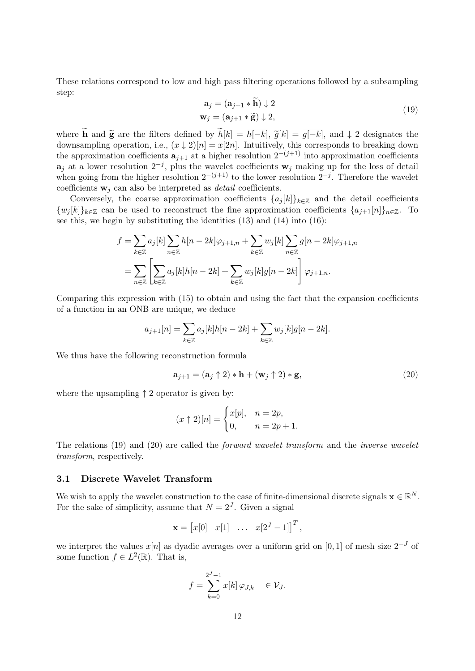These relations correspond to low and high pass filtering operations followed by a subsampling step:

$$
\mathbf{a}_{j} = (\mathbf{a}_{j+1} * \mathbf{h}) \downarrow 2 \n\mathbf{w}_{j} = (\mathbf{a}_{j+1} * \widetilde{\mathbf{g}}) \downarrow 2,
$$
\n(19)

where  $\tilde{\mathbf{h}}$  and  $\tilde{\mathbf{g}}$  are the filters defined by  $\tilde{h}[k] = \overline{h[-k]}$ ,  $\tilde{g}[k] = \overline{g[-k]}$ , and  $\downarrow 2$  designates the downsampling operation, i.e.,  $(x \downarrow 2)[n] = x[2n]$ . Intuitively, this corresponds to breaking down the approximation coefficients  $a_{j+1}$  at a higher resolution  $2^{-(j+1)}$  into approximation coefficients  $a_j$  at a lower resolution  $2^{-j}$ , plus the wavelet coefficients  $w_j$  making up for the loss of detail when going from the higher resolution  $2^{-(j+1)}$  to the lower resolution  $2^{-j}$ . Therefore the wavelet coefficients  $\mathbf{w}_i$  can also be interpreted as *detail* coefficients.

Conversely, the coarse approximation coefficients  ${a_j[k]}_{k \in \mathbb{Z}}$  and the detail coefficients  $\{w_i[k]\}_{k\in\mathbb{Z}}$  can be used to reconstruct the fine approximation coefficients  $\{a_{i+1}[n]\}_{n\in\mathbb{Z}}$ . To see this, we begin by substituting the identities  $(13)$  and  $(14)$  into  $(16)$ :

$$
f = \sum_{k \in \mathbb{Z}} a_j[k] \sum_{n \in \mathbb{Z}} h[n-2k] \varphi_{j+1,n} + \sum_{k \in \mathbb{Z}} w_j[k] \sum_{n \in \mathbb{Z}} g[n-2k] \varphi_{j+1,n}
$$
  
= 
$$
\sum_{n \in \mathbb{Z}} \left[ \sum_{k \in \mathbb{Z}} a_j[k]h[n-2k] + \sum_{k \in \mathbb{Z}} w_j[k]g[n-2k] \right] \varphi_{j+1,n}.
$$

Comparing this expression with (15) to obtain and using the fact that the expansion coefficients of a function in an ONB are unique, we deduce

$$
a_{j+1}[n] = \sum_{k \in \mathbb{Z}} a_j[k]h[n-2k] + \sum_{k \in \mathbb{Z}} w_j[k]g[n-2k].
$$

We thus have the following reconstruction formula

$$
\mathbf{a}_{j+1} = (\mathbf{a}_j \uparrow 2) \ast \mathbf{h} + (\mathbf{w}_j \uparrow 2) \ast \mathbf{g},\tag{20}
$$

where the upsampling  $\uparrow$  2 operator is given by:

$$
(x \uparrow 2)[n] = \begin{cases} x[p], & n = 2p, \\ 0, & n = 2p + 1. \end{cases}
$$

The relations (19) and (20) are called the forward wavelet transform and the inverse wavelet transform, respectively.

#### 3.1 Discrete Wavelet Transform

We wish to apply the wavelet construction to the case of finite-dimensional discrete signals  $\mathbf{x} \in \mathbb{R}^N$ . For the sake of simplicity, assume that  $N = 2<sup>J</sup>$ . Given a signal

$$
\mathbf{x} = \begin{bmatrix} x[0] & x[1] & \dots & x[2^J - 1] \end{bmatrix}^T,
$$

we interpret the values  $x[n]$  as dyadic averages over a uniform grid on [0, 1] of mesh size  $2^{-J}$  of some function  $f \in L^2(\mathbb{R})$ . That is,

$$
f = \sum_{k=0}^{2^J - 1} x[k] \varphi_{J,k} \in \mathcal{V}_J.
$$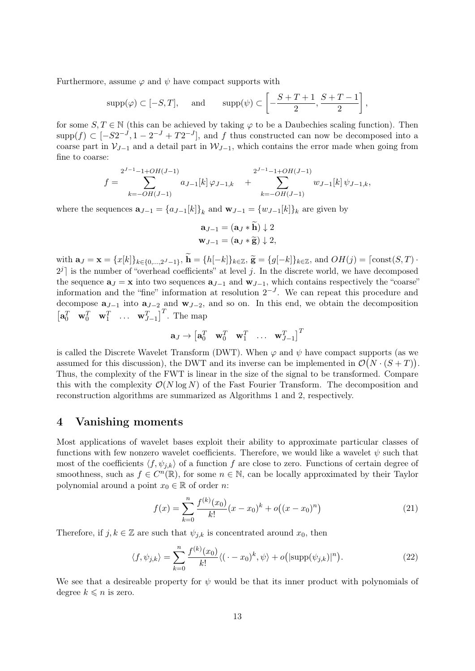Furthermore, assume  $\varphi$  and  $\psi$  have compact supports with

$$
supp(\varphi) \subset [-S,T],
$$
 and  $supp(\psi) \subset \left[ -\frac{S+T+1}{2}, \frac{S+T-1}{2} \right],$ 

for some  $S, T \in \mathbb{N}$  (this can be achieved by taking  $\varphi$  to be a Daubechies scaling function). Then supp $(f) \subset [-S2^{-J}, 1 - 2^{-J} + T2^{-J}]$ , and f thus constructed can now be decomposed into a coarse part in  $V_{J-1}$  and a detail part in  $W_{J-1}$ , which contains the error made when going from fine to coarse:

$$
f = \sum_{k=-OH(J-1)}^{2^{J-1}-1+OH(J-1)} a_{J-1}[k] \varphi_{J-1,k} + \sum_{k=-OH(J-1)}^{2^{J-1}-1+OH(J-1)} w_{J-1}[k] \psi_{J-1,k},
$$

where the sequences  $\mathbf{a}_{J-1} = \{a_{J-1}[k]\}_k$  and  $\mathbf{w}_{J-1} = \{w_{J-1}[k]\}_k$  are given by

$$
\mathbf{a}_{J-1} = (\mathbf{a}_J * \mathbf{h}) \downarrow 2
$$
  

$$
\mathbf{w}_{J-1} = (\mathbf{a}_J * \widetilde{\mathbf{g}}) \downarrow 2,
$$

with  $\mathbf{a}_J = \mathbf{x} = \{x[k]\}_{k \in \{0, ..., 2^J-1\}}$ ,  $\mathbf{h} = \{h[-k]\}_{k \in \mathbb{Z}}$ ,  $\widetilde{\mathbf{g}} = \{g[-k]\}_{k \in \mathbb{Z}}$ , and  $OH(j) = \lceil const(S, T) \cdot$  $2^{j}$  is the number of "overhead coefficients" at level j. In the discrete world, we have decomposed the sequence  $\mathbf{a}_J = \mathbf{x}$  into two sequences  $\mathbf{a}_{J-1}$  and  $\mathbf{w}_{J-1}$ , which contains respectively the "coarse" information and the "fine" information at resolution  $2^{-J}$ . We can repeat this procedure and decompose  $\mathbf{a}_{J-1}$  into  $\mathbf{a}_{J-2}$  and  $\mathbf{w}_{J-2}$ , and so on. In this end, we obtain the decomposition  $\begin{bmatrix} \mathbf{a}_0^T & \mathbf{w}_0^T & \mathbf{w}_1^T & \dots & \mathbf{w}_{J-1}^T \end{bmatrix}^T$ . The map

$$
\mathbf{a}_{J} \rightarrow \begin{bmatrix} \mathbf{a}_{0}^{T} & \mathbf{w}_{0}^{T} & \mathbf{w}_{1}^{T} & \dots & \mathbf{w}_{J-1}^{T} \end{bmatrix}^{T}
$$

is called the Discrete Wavelet Transform (DWT). When  $\varphi$  and  $\psi$  have compact supports (as we assumed for this discussion), the DWT and its inverse can be implemented in  $\mathcal{O}(N \cdot (S + T)).$ Thus, the complexity of the FWT is linear in the size of the signal to be transformed. Compare this with the complexity  $\mathcal{O}(N \log N)$  of the Fast Fourier Transform. The decomposition and reconstruction algorithms are summarized as Algorithms 1 and 2, respectively.

#### 4 Vanishing moments

Most applications of wavelet bases exploit their ability to approximate particular classes of functions with few nonzero wavelet coefficients. Therefore, we would like a wavelet  $\psi$  such that most of the coefficients  $\langle f, \psi_{j,k} \rangle$  of a function f are close to zero. Functions of certain degree of smoothness, such as  $f \in C^n(\mathbb{R})$ , for some  $n \in \mathbb{N}$ , can be locally approximated by their Taylor polynomial around a point  $x_0 \in \mathbb{R}$  of order n:

$$
f(x) = \sum_{k=0}^{n} \frac{f^{(k)}(x_0)}{k!} (x - x_0)^k + o((x - x_0)^n)
$$
 (21)

Therefore, if  $j, k \in \mathbb{Z}$  are such that  $\psi_{j,k}$  is concentrated around  $x_0$ , then

$$
\langle f, \psi_{j,k} \rangle = \sum_{k=0}^{n} \frac{f^{(k)}(x_0)}{k!} \langle (\cdot - x_0)^k, \psi \rangle + o\left(|\text{supp}(\psi_{j,k})|^n\right).
$$
 (22)

We see that a desireable property for  $\psi$  would be that its inner product with polynomials of degree  $k \leq n$  is zero.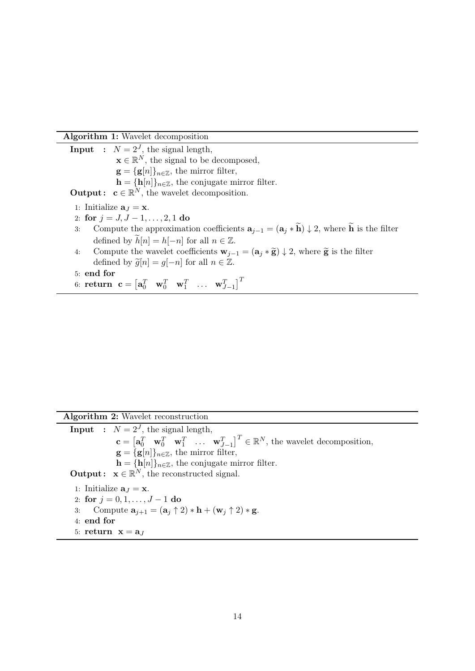Algorithm 1: Wavelet decomposition

**Input** :  $N = 2^J$ , the signal length,  $\mathbf{x} \in \mathbb{R}^N$ , the signal to be decomposed,  $\mathbf{g} = {\{\mathbf{g}[n]\}}_{n \in \mathbb{Z}}$ , the mirror filter,  $h = {h[n]}_{n \in \mathbb{Z}}$ , the conjugate mirror filter. **Output:**  $\mathbf{c} \in \mathbb{R}^N$ , the wavelet decomposition. 1: Initialize  $\mathbf{a}_I = \mathbf{x}$ . 2: for  $j = J, J - 1, \ldots, 2, 1$  do 3: Compute the approximation coefficients  $\mathbf{a}_{i-1} = (\mathbf{a}_i * \widetilde{\mathbf{h}}) \downarrow 2$ , where  $\widetilde{\mathbf{h}}$  is the filter defined by  $\widetilde{h}[n] = h[-n]$  for all  $n \in \mathbb{Z}$ . 4: Compute the wavelet coefficients  $\mathbf{w}_{i-1} = (\mathbf{a}_i * \widetilde{\mathbf{g}}) \downarrow 2$ , where  $\widetilde{\mathbf{g}}$  is the filter defined by  $\widetilde{g}[n] = g[-n]$  for all  $n \in \mathbb{Z}$ .

5: end for

6:  $\textbf{return } \textbf{ c} = \begin{bmatrix} \textbf{a}_0^T & \textbf{w}_0^T & \textbf{w}_1^T & \dots & \textbf{w}_{J-1}^T \end{bmatrix}^T$ 

Algorithm 2: Wavelet reconstruction

**Input** :  $N = 2<sup>J</sup>$ , the signal length,  $\mathbf{c} = \begin{bmatrix} \mathbf{a}_0^T & \mathbf{w}_0^T & \mathbf{w}_1^T & \dots & \mathbf{w}_{J-1}^T \end{bmatrix}^T \in \mathbb{R}^N$ , the wavelet decomposition,  $\mathbf{g} = {\{\mathbf{g}[n]\}_{n \in \mathbb{Z}}},$  the mirror filter,  $\mathbf{h} = {\mathbf{h}[n]}_{n \in \mathbb{Z}}$ , the conjugate mirror filter. **Output:**  $\mathbf{x} \in \mathbb{R}^N$ , the reconstructed signal. 1: Initialize  $\mathbf{a}_J = \mathbf{x}$ . 2: for  $j = 0, 1, \ldots, J - 1$  do 3: Compute  $\mathbf{a}_{i+1} = (\mathbf{a}_i \uparrow 2) * \mathbf{h} + (\mathbf{w}_i \uparrow 2) * \mathbf{g}$ . 4: end for 5: return  $\mathbf{x} = \mathbf{a}_J$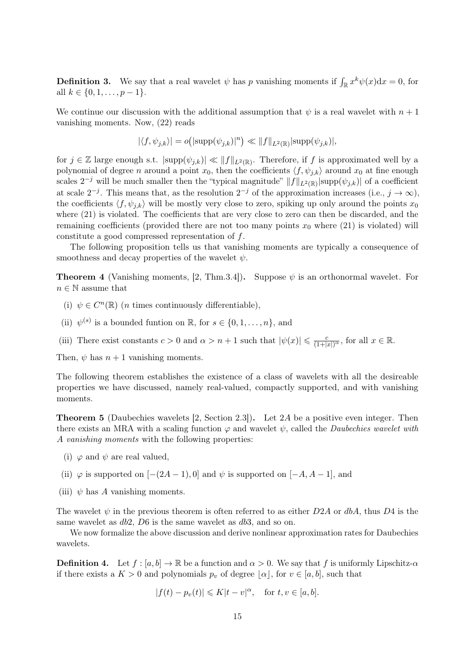**Definition 3.** We say that a real wavelet  $\psi$  has p vanishing moments if  $\int_{\mathbb{R}} x^k \psi(x) dx = 0$ , for all  $k \in \{0, 1, \ldots, p-1\}.$ 

We continue our discussion with the additional assumption that  $\psi$  is a real wavelet with  $n+1$ vanishing moments. Now, (22) reads

$$
|\langle f, \psi_{j,k} \rangle| = o(|\text{supp}(\psi_{j,k})|^n) \ll ||f||_{L^2(\mathbb{R})} |\text{supp}(\psi_{j,k})|,
$$

for  $j \in \mathbb{Z}$  large enough s.t.  $|\text{supp}(\psi_{j,k})| \ll ||f||_{L^2(\mathbb{R})}$ . Therefore, if f is approximated well by a polynomial of degree n around a point  $x_0$ , then the coefficients  $\langle f, \psi_{i,k} \rangle$  around  $x_0$  at fine enough scales  $2^{-j}$  will be much smaller then the "typical magnitude"  $||f||_{L^2(\mathbb{R})}$  supp $(\psi_{j,k})$  of a coefficient at scale  $2^{-j}$ . This means that, as the resolution  $2^{-j}$  of the approximation increases (i.e.,  $j \to \infty$ ), the coefficients  $\langle f, \psi_{i,k} \rangle$  will be mostly very close to zero, spiking up only around the points  $x_0$ where  $(21)$  is violated. The coefficients that are very close to zero can then be discarded, and the remaining coefficients (provided there are not too many points  $x_0$  where (21) is violated) will constitute a good compressed representation of f.

The following proposition tells us that vanishing moments are typically a consequence of smoothness and decay properties of the wavelet  $\psi$ .

**Theorem 4** (Vanishing moments, [2, Thm.3.4]). Suppose  $\psi$  is an orthonormal wavelet. For  $n \in \mathbb{N}$  assume that

- (i)  $\psi \in C^n(\mathbb{R})$  (*n* times continuously differentiable),
- (ii)  $\psi^{(s)}$  is a bounded funtion on  $\mathbb{R}$ , for  $s \in \{0, 1, \ldots, n\}$ , and
- (iii) There exist constants  $c > 0$  and  $\alpha > n + 1$  such that  $|\psi(x)| \leqslant \frac{c}{(1+|x|)^{\alpha}}$ , for all  $x \in \mathbb{R}$ .

Then,  $\psi$  has  $n+1$  vanishing moments.

The following theorem establishes the existence of a class of wavelets with all the desireable properties we have discussed, namely real-valued, compactly supported, and with vanishing moments.

Theorem 5 (Daubechies wavelets [2, Section 2.3]). Let 2A be a positive even integer. Then there exists an MRA with a scaling function  $\varphi$  and wavelet  $\psi$ , called the *Daubechies wavelet with* A vanishing moments with the following properties:

- (i)  $\varphi$  and  $\psi$  are real valued,
- (ii)  $\varphi$  is supported on  $[-(2A-1), 0]$  and  $\psi$  is supported on  $[-A, A-1]$ , and
- (iii)  $\psi$  has A vanishing moments.

The wavelet  $\psi$  in the previous theorem is often referred to as either D2A or dbA, thus D4 is the same wavelet as  $db2$ ,  $D6$  is the same wavelet as  $db3$ , and so on.

We now formalize the above discussion and derive nonlinear approximation rates for Daubechies wavelets.

**Definition 4.** Let  $f : [a, b] \to \mathbb{R}$  be a function and  $\alpha > 0$ . We say that f is uniformly Lipschitz- $\alpha$ if there exists a  $K > 0$  and polynomials  $p_v$  of degree  $|\alpha|$ , for  $v \in [a, b]$ , such that

$$
|f(t) - p_v(t)| \leq K|t - v|^{\alpha}, \quad \text{for } t, v \in [a, b].
$$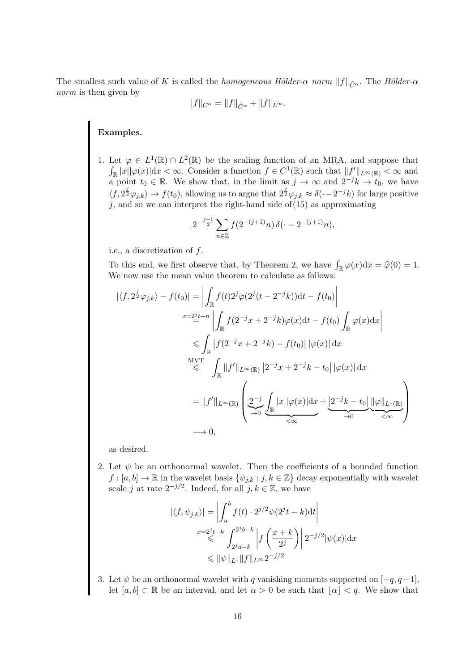The smallest such value of K is called the homogeneous Hölder- $\alpha$  norm  $||f||_{\tilde{C}^{\alpha}}$ . The Hölder- $\alpha$ norm is then given by

$$
||f||_{C^{\alpha}} = ||f||_{\tilde{C}^{\alpha}} + ||f||_{L^{\infty}}.
$$

#### Examples.

1. Let  $\varphi \in L^1(\mathbb{R}) \cap L^2(\mathbb{R})$  be the scaling function of an MRA, and suppose that  $\int_{\mathbb{R}} |x| |\varphi(x)| dx < \infty$ . Consider a function  $f \in C^1(\mathbb{R})$  such that  $||f'||_{L^{\infty}(\mathbb{R})} < \infty$  and a point  $t_0 \in \mathbb{R}$ . We show that, in the limit as  $j \to \infty$  and  $2^{-j}k \to t_0$ , we have  $\langle f, 2^{\frac{1}{2}}\varphi_{j,k}\rangle \to f(t_0)$ , allowing us to argue that  $2^{\frac{1}{2}}\varphi_{j,k} \approx \delta(-2^{-j}k)$  for large positive  $j$ , and so we can interpret the right-hand side of(15) as approximating

$$
2^{-\frac{j+1}{2}} \sum_{n \in \mathbb{Z}} f(2^{-(j+1)}n) \, \delta(\cdot - 2^{-(j+1)}n),
$$

i.e., a discretization of f.

To this end, we first observe that, by Theorem 2, we have  $\int_{\mathbb{R}} \varphi(x) dx = \hat{\varphi}(0) = 1$ .<br>We now use the mean value theorem to calculate as follows: We now use the mean value theorem to calculate as follows:

$$
|\langle f, 2^{\frac{j}{2}}\varphi_{j,k}\rangle - f(t_0)| = \left| \int_{\mathbb{R}} f(t)2^j \varphi(2^j(t-2^{-j}k))dt - f(t_0) \right|
$$
  
\n
$$
x = 2^{j}t - n \left| \int_{\mathbb{R}} f(2^{-j}x + 2^{-j}k)\varphi(x)dt - f(t_0) \int_{\mathbb{R}} \varphi(x)dx \right|
$$
  
\n
$$
\leq \int_{\mathbb{R}} |f(2^{-j}x + 2^{-j}k) - f(t_0)| |\varphi(x)| dx
$$
  
\n
$$
\leq \int_{\mathbb{R}} ||f'||_{L^{\infty}(\mathbb{R})} |2^{-j}x + 2^{-j}k - t_0| |\varphi(x)| dx
$$
  
\n
$$
= ||f'||_{L^{\infty}(\mathbb{R})} \left( \underbrace{2^{-j}}_{\to 0} \underbrace{\int_{\mathbb{R}} |x| |\varphi(x)| dx} + \underbrace{2^{-j}k - t_0} \underbrace{\int_{\mathbb{R}} |\varphi||_{L^1(\mathbb{R})}}_{\to 0} \right)
$$
  
\n
$$
\to 0,
$$

as desired.

2. Let  $\psi$  be an orthonormal wavelet. Then the coefficients of a bounded function  $f : [a, b] \to \mathbb{R}$  in the wavelet basis  $\{\psi_{i,k} : j, k \in \mathbb{Z}\}\)$  decay exponentially with wavelet scale j at rate  $2^{-j/2}$ . Indeed, for all  $j, k \in \mathbb{Z}$ , we have

$$
|\langle f, \psi_{j,k} \rangle| = \left| \int_a^b f(t) \cdot 2^{j/2} \psi(2^j t - k) dt \right|
$$
  

$$
x = 2^j t - k \int_{2^j a - k}^{2^j b - k} \left| f\left(\frac{x + k}{2^j}\right) \right| 2^{-j/2} |\psi(x)| dx
$$
  

$$
\leq \|\psi\|_{L^1} \|f\|_{L^\infty} 2^{-j/2}
$$

3. Let  $\psi$  be an orthonormal wavelet with q vanishing moments supported on  $[-q, q-1]$ , let  $[a, b] \subset \mathbb{R}$  be an interval, and let  $\alpha > 0$  be such that  $|\alpha| < q$ . We show that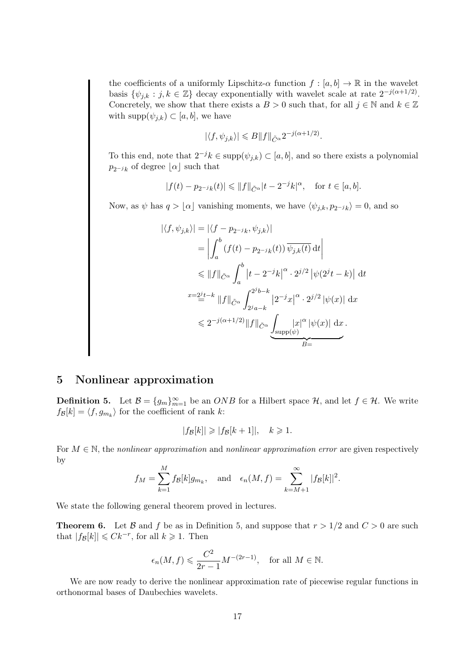the coefficients of a uniformly Lipschitz- $\alpha$  function  $f : [a, b] \to \mathbb{R}$  in the wavelet basis  $\{\psi_{j,k} : j,k \in \mathbb{Z}\}\$  decay exponentially with wavelet scale at rate  $2^{-j(\alpha+1/2)}$ . Concretely, we show that there exists a  $B > 0$  such that, for all  $j \in \mathbb{N}$  and  $k \in \mathbb{Z}$ with  $\text{supp}(\psi_{j,k}) \subset [a, b]$ , we have

$$
|\langle f, \psi_{j,k} \rangle| \leq B \|f\|_{\tilde{C}^{\alpha}} 2^{-j(\alpha+1/2)}.
$$

To this end, note that  $2^{-j}k \in \text{supp}(\psi_{j,k}) \subset [a, b]$ , and so there exists a polynomial  $p_{2-jk}$  of degree  $\lfloor \alpha \rfloor$  such that

$$
|f(t) - p_{2^{-j}k}(t)| \le ||f||_{\tilde{C}^{\alpha}} |t - 2^{-j}k|^{\alpha}, \text{ for } t \in [a, b].
$$

Now, as  $\psi$  has  $q > \lfloor \alpha \rfloor$  vanishing moments, we have  $\langle \psi_{j,k}, p_{2^{-j}k} \rangle = 0$ , and so

$$
\begin{split}\n|\langle f, \psi_{j,k} \rangle| &= |\langle f - p_{2^{-j}k}, \psi_{j,k} \rangle| \\
&= \left| \int_a^b (f(t) - p_{2^{-j}k}(t)) \, \overline{\psi_{j,k}(t)} \, dt \right| \\
&\leq \|f\|_{\tilde{C}^{\alpha}} \int_a^b |t - 2^{-j}k|^{\alpha} \cdot 2^{j/2} |\psi(2^{j}t - k)| \, dt \\
&x = 2^{j}t - k \, \|f\|_{\tilde{C}^{\alpha}} \int_{2^{j}a - k}^{2^{j}b - k} |2^{-j}x|^{\alpha} \cdot 2^{j/2} |\psi(x)| \, dx \\
&\leq 2^{-j(\alpha + 1/2)} \|f\|_{\tilde{C}^{\alpha}} \underbrace{\int_{\text{supp}(\psi)} |x|^{\alpha} |\psi(x)| \, dx}_{B}.\n\end{split}
$$

## 5 Nonlinear approximation

**Definition 5.** Let  $\mathcal{B} = \{g_m\}_{m=1}^{\infty}$  be an *ONB* for a Hilbert space  $\mathcal{H}$ , and let  $f \in \mathcal{H}$ . We write  $f_{\mathcal{B}}[k] = \langle f, g_{m_k} \rangle$  for the coefficient of rank k:

$$
|f_{\mathcal{B}}[k]| \geqslant |f_{\mathcal{B}}[k+1]|, \quad k \geqslant 1.
$$

For  $M \in \mathbb{N}$ , the nonlinear approximation and nonlinear approximation error are given respectively by  $\overline{M}$ 

$$
f_M = \sum_{k=1}^{M} f_{\mathcal{B}}[k] g_{m_k}
$$
, and  $\epsilon_n(M, f) = \sum_{k=M+1}^{\infty} |f_{\mathcal{B}}[k]|^2$ .

We state the following general theorem proved in lectures.

**Theorem 6.** Let B and f be as in Definition 5, and suppose that  $r > 1/2$  and  $C > 0$  are such that  $|f_{\mathcal{B}}[k]| \leq C k^{-r}$ , for all  $k \geq 1$ . Then

$$
\epsilon_n(M, f) \leqslant \frac{C^2}{2r-1} M^{-(2r-1)}
$$
, for all  $M \in \mathbb{N}$ .

We are now ready to derive the nonlinear approximation rate of piecewise regular functions in orthonormal bases of Daubechies wavelets.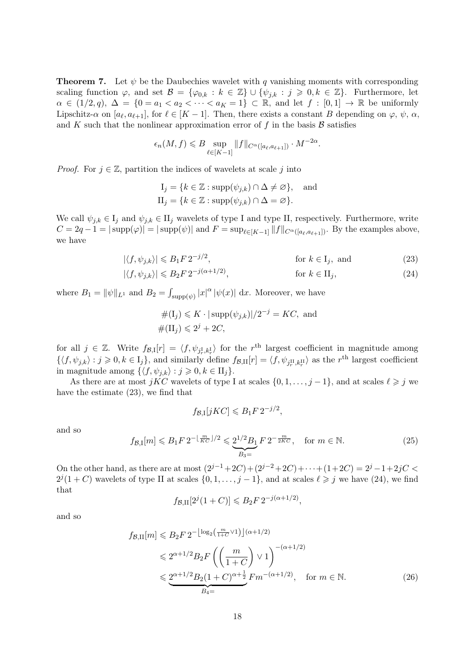**Theorem 7.** Let  $\psi$  be the Daubechies wavelet with q vanishing moments with corresponding scaling function  $\varphi$ , and set  $\mathcal{B} = {\varphi_{0,k} : k \in \mathbb{Z}} \cup {\psi_{j,k} : j \geqslant 0, k \in \mathbb{Z}}$ . Furthermore, let  $\alpha \in (1/2, q), \Delta = \{0 = a_1 < a_2 < \cdots < a_K = 1\} \subset \mathbb{R}$ , and let  $f : [0, 1] \rightarrow \mathbb{R}$  be uniformly Lipschitz- $\alpha$  on  $[a_\ell, a_{\ell+1}]$ , for  $\ell \in [K-1]$ . Then, there exists a constant B depending on  $\varphi, \psi, \alpha$ , and K such that the nonlinear approximation error of f in the basis  $\beta$  satisfies

$$
\epsilon_n(M, f) \leq B \sup_{\ell \in [K-1]} \|f\|_{C^{\alpha}([a_{\ell}, a_{\ell+1}])} \cdot M^{-2\alpha}.
$$

*Proof.* For  $j \in \mathbb{Z}$ , partition the indices of wavelets at scale j into

$$
I_j = \{k \in \mathbb{Z} : \text{supp}(\psi_{j,k}) \cap \Delta \neq \varnothing\}, \text{ and}
$$
  

$$
II_j = \{k \in \mathbb{Z} : \text{supp}(\psi_{j,k}) \cap \Delta = \varnothing\}.
$$

We call  $\psi_{j,k} \in I_j$  and  $\psi_{j,k} \in II_j$  wavelets of type I and type II, respectively. Furthermore, write  $C = 2q - 1 = |\text{supp}(\varphi)| = |\text{supp}(\psi)|$  and  $F = \text{sup}_{\ell \in [K-1]} ||f||_{C^{\alpha}([\alpha_{\ell}, \alpha_{\ell+1}])}$ . By the examples above, we have

$$
|\langle f, \psi_{j,k} \rangle| \le B_1 F 2^{-j/2}, \qquad \text{for } k \in I_j, \text{ and} \tag{23}
$$

$$
|\langle f, \psi_{j,k} \rangle| \le B_2 F \, 2^{-j(\alpha+1/2)}, \qquad \text{for } k \in \Pi_j,\tag{24}
$$

where  $B_1 = ||\psi||_{L^1}$  and  $B_2 = \int_{\text{supp}(\psi)} |x|^{\alpha} |\psi(x)| \, dx$ . Moreover, we have

$$
#(I_j) \leqslant K \cdot |\operatorname{supp}(\psi_{j,k})|/2^{-j} = KC, \text{ and}
$$
  

$$
\#(II_j) \leqslant 2^j + 2C,
$$

for all  $j \in \mathbb{Z}$ . Write  $f_{\mathcal{B},I}[r] = \langle f, \psi_{j_r^I,k_r^I} \rangle$  for the r<sup>th</sup> largest coefficient in magnitude among  $\{\langle f, \psi_{j,k}\rangle : j \geqslant 0, k \in I_j\},\$ and similarly define  $f_{\mathcal{B},\text{II}}[r] = \langle f, \psi_{j_r^{\text{II}}, k_r^{\text{II}}}\rangle$  as the r<sup>th</sup> largest coefficient in magnitude among  $\{ \langle f, \psi_{j,k} \rangle : j \geqslant 0, k \in H_j \}.$ 

As there are at most jKC wavelets of type I at scales  $\{0, 1, \ldots, j - 1\}$ , and at scales  $\ell \geq j$  we have the estimate (23), we find that

$$
f_{\mathcal{B},\mathcal{I}}[jKC] \leq B_1 F 2^{-j/2},
$$

and so

$$
f_{\mathcal{B},I}[m] \leq B_1 F \, 2^{-\lfloor \frac{m}{KC} \rfloor/2} \leq \underbrace{2^{1/2} B_1}_{B_3=} F \, 2^{-\frac{m}{2KC}}, \quad \text{for } m \in \mathbb{N}.
$$
 (25)

On the other hand, as there are at most  $(2^{j-1}+2C)+(2^{j-2}+2C)+\cdots+(1+2C)=2^{j}-1+2jC$  $2^{j}(1+C)$  wavelets of type II at scales  $\{0,1,\ldots,j-1\}$ , and at scales  $\ell \geq j$  we have (24), we find that

$$
f_{\mathcal{B},\text{II}}[2^j(1+C)] \leq B_2 F 2^{-j(\alpha+1/2)},
$$

and so

$$
f_{\mathcal{B},\text{II}}[m] \leq B_2 F 2^{-\left\lfloor \log_2\left(\frac{m}{1+C} \vee 1\right) \right\rfloor (\alpha+1/2)}
$$
  
\$\leq 2^{\alpha+1/2} B\_2 F \left( \left( \frac{m}{1+C} \right) \vee 1 \right)^{-(\alpha+1/2)}\$  
\$\leq \underbrace{2^{\alpha+1/2} B\_2 (1+C)^{\alpha+\frac{1}{2}}}\_{B\_4=} F m^{-(\alpha+1/2)}, \text{ for } m \in \mathbb{N}\$. (26)